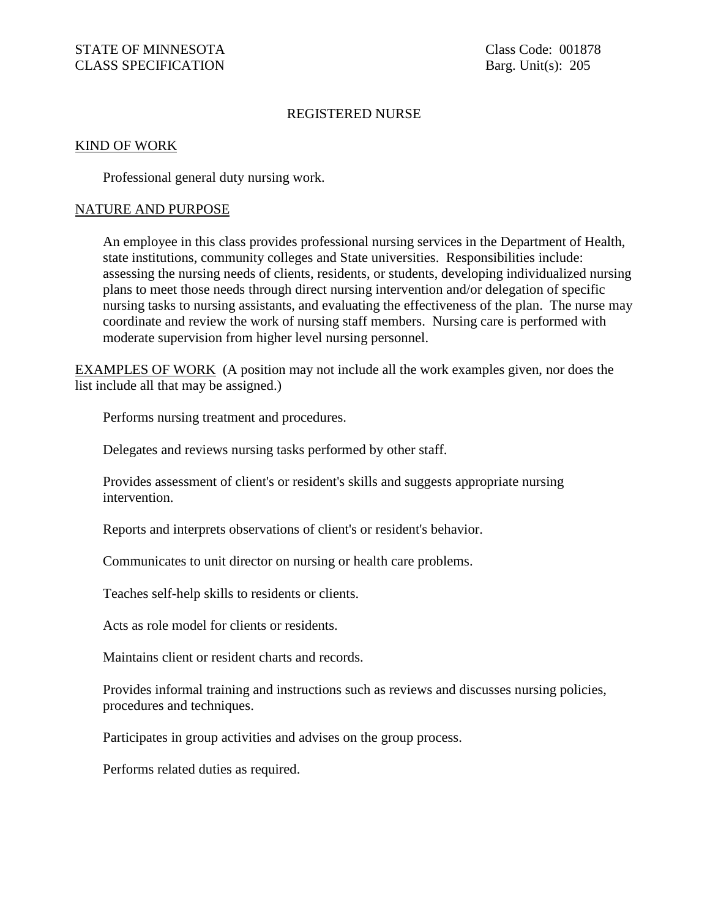### REGISTERED NURSE

#### KIND OF WORK

Professional general duty nursing work.

### NATURE AND PURPOSE

An employee in this class provides professional nursing services in the Department of Health, state institutions, community colleges and State universities. Responsibilities include: assessing the nursing needs of clients, residents, or students, developing individualized nursing plans to meet those needs through direct nursing intervention and/or delegation of specific nursing tasks to nursing assistants, and evaluating the effectiveness of the plan. The nurse may coordinate and review the work of nursing staff members. Nursing care is performed with moderate supervision from higher level nursing personnel.

EXAMPLES OF WORK (A position may not include all the work examples given, nor does the list include all that may be assigned.)

Performs nursing treatment and procedures.

Delegates and reviews nursing tasks performed by other staff.

Provides assessment of client's or resident's skills and suggests appropriate nursing intervention.

Reports and interprets observations of client's or resident's behavior.

Communicates to unit director on nursing or health care problems.

Teaches self-help skills to residents or clients.

Acts as role model for clients or residents.

Maintains client or resident charts and records.

Provides informal training and instructions such as reviews and discusses nursing policies, procedures and techniques.

Participates in group activities and advises on the group process.

Performs related duties as required.